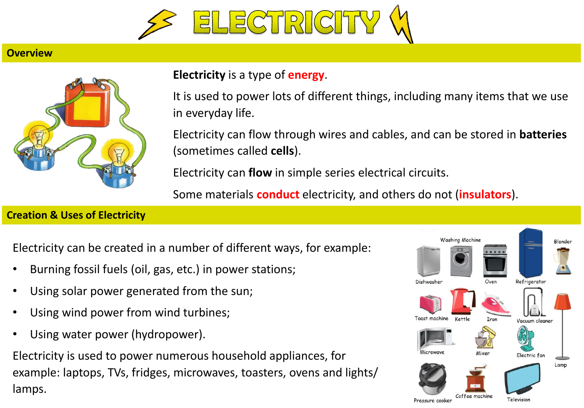

## **Overview**



## **Electricity** is a type of **energy**.

It is used to power lots of different things, including many items that we use in everyday life.

Electricity can flow through wires and cables, and can be stored in **batteries** (sometimes called **cells**).

Electricity can **flow** in simple series electrical circuits.

Some materials **conduct** electricity, and others do not (**insulators**).

## **Creation & Uses of Electricity**

Electricity can be created in a number of different ways, for example:

- Burning fossil fuels (oil, gas, etc.) in power stations;
- Using solar power generated from the sun;
- Using wind power from wind turbines;
- Using water power (hydropower).

Electricity is used to power numerous household appliances, for example: laptops, TVs, fridges, microwaves, toasters, ovens and lights/ lamps.